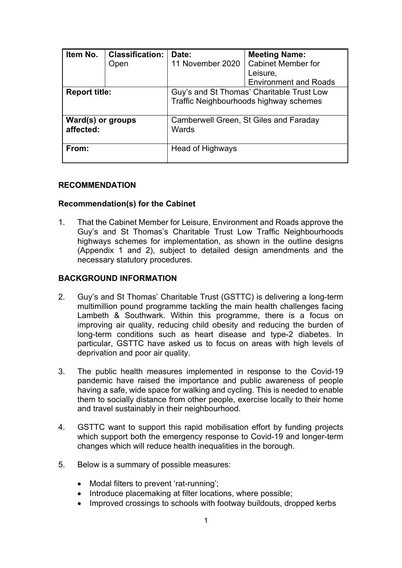| Item No.                       | <b>Classification:</b> | Date:                                                                               | <b>Meeting Name:</b>         |
|--------------------------------|------------------------|-------------------------------------------------------------------------------------|------------------------------|
|                                | Open                   | 11 November 2020                                                                    | <b>Cabinet Member for</b>    |
|                                |                        |                                                                                     | Leisure,                     |
|                                |                        |                                                                                     | <b>Environment and Roads</b> |
| <b>Report title:</b>           |                        | Guy's and St Thomas' Charitable Trust Low<br>Traffic Neighbourhoods highway schemes |                              |
| Ward(s) or groups<br>affected: |                        | Camberwell Green, St Giles and Faraday<br>Wards                                     |                              |
| From:                          |                        | Head of Highways                                                                    |                              |

#### **RECOMMENDATION**

#### **Recommendation(s) for the Cabinet**

1. That the Cabinet Member for Leisure, Environment and Roads approve the Guy's and St Thomas's Charitable Trust Low Traffic Neighbourhoods highways schemes for implementation, as shown in the outline designs (Appendix 1 and 2), subject to detailed design amendments and the necessary statutory procedures.

#### **BACKGROUND INFORMATION**

- 2. Guy's and St Thomas' Charitable Trust (GSTTC) is delivering a long-term multimillion pound programme tackling the main health challenges facing Lambeth & Southwark. Within this programme, there is a focus on improving air quality, reducing child obesity and reducing the burden of long-term conditions such as heart disease and type-2 diabetes. In particular, GSTTC have asked us to focus on areas with high levels of deprivation and poor air quality.
- 3. The public health measures implemented in response to the Covid-19 pandemic have raised the importance and public awareness of people having a safe, wide space for walking and cycling. This is needed to enable them to socially distance from other people, exercise locally to their home and travel sustainably in their neighbourhood.
- 4. GSTTC want to support this rapid mobilisation effort by funding projects which support both the emergency response to Covid-19 and longer-term changes which will reduce health inequalities in the borough.
- 5. Below is a summary of possible measures:
	- Modal filters to prevent 'rat-running';
	- Introduce placemaking at filter locations, where possible;
	- Improved crossings to schools with footway buildouts, dropped kerbs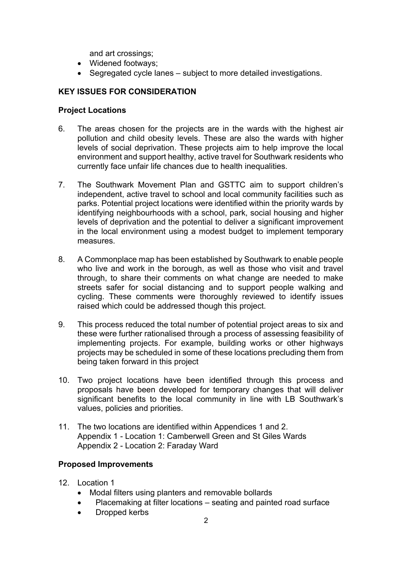and art crossings;

- Widened footways;
- Segregated cycle lanes subject to more detailed investigations.

# **KEY ISSUES FOR CONSIDERATION**

#### **Project Locations**

- 6. The areas chosen for the projects are in the wards with the highest air pollution and child obesity levels. These are also the wards with higher levels of social deprivation. These projects aim to help improve the local environment and support healthy, active travel for Southwark residents who currently face unfair life chances due to health inequalities.
- 7. The Southwark Movement Plan and GSTTC aim to support children's independent, active travel to school and local community facilities such as parks. Potential project locations were identified within the priority wards by identifying neighbourhoods with a school, park, social housing and higher levels of deprivation and the potential to deliver a significant improvement in the local environment using a modest budget to implement temporary measures.
- 8. A Commonplace map has been established by Southwark to enable people who live and work in the borough, as well as those who visit and travel through, to share their comments on what change are needed to make streets safer for social distancing and to support people walking and cycling. These comments were thoroughly reviewed to identify issues raised which could be addressed though this project.
- 9. This process reduced the total number of potential project areas to six and these were further rationalised through a process of assessing feasibility of implementing projects. For example, building works or other highways projects may be scheduled in some of these locations precluding them from being taken forward in this project
- 10. Two project locations have been identified through this process and proposals have been developed for temporary changes that will deliver significant benefits to the local community in line with LB Southwark's values, policies and priorities.
- 11. The two locations are identified within Appendices 1 and 2. Appendix 1 - Location 1: Camberwell Green and St Giles Wards Appendix 2 - Location 2: Faraday Ward

## **Proposed Improvements**

- 12. Location 1
	- Modal filters using planters and removable bollards
	- Placemaking at filter locations seating and painted road surface
	- Dropped kerbs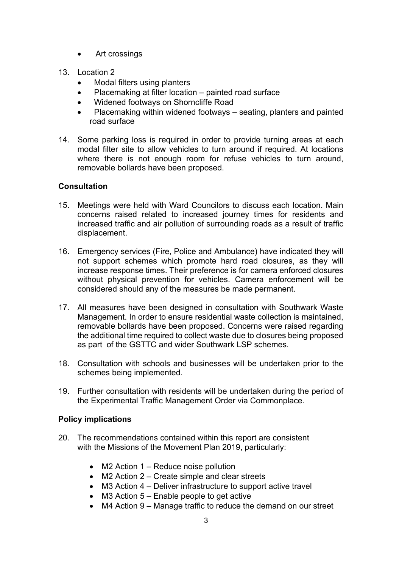- Art crossings
- 13. Location 2
	- Modal filters using planters
	- Placemaking at filter location painted road surface
	- Widened footways on Shorncliffe Road
	- Placemaking within widened footways seating, planters and painted road surface
- 14. Some parking loss is required in order to provide turning areas at each modal filter site to allow vehicles to turn around if required. At locations where there is not enough room for refuse vehicles to turn around, removable bollards have been proposed.

## **Consultation**

- 15. Meetings were held with Ward Councilors to discuss each location. Main concerns raised related to increased journey times for residents and increased traffic and air pollution of surrounding roads as a result of traffic displacement.
- 16. Emergency services (Fire, Police and Ambulance) have indicated they will not support schemes which promote hard road closures, as they will increase response times. Their preference is for camera enforced closures without physical prevention for vehicles. Camera enforcement will be considered should any of the measures be made permanent.
- 17. All measures have been designed in consultation with Southwark Waste Management. In order to ensure residential waste collection is maintained, removable bollards have been proposed. Concerns were raised regarding the additional time required to collect waste due to closures being proposed as part of the GSTTC and wider Southwark LSP schemes.
- 18. Consultation with schools and businesses will be undertaken prior to the schemes being implemented.
- 19. Further consultation with residents will be undertaken during the period of the Experimental Traffic Management Order via Commonplace.

#### **Policy implications**

- 20. The recommendations contained within this report are consistent with the Missions of the Movement Plan 2019, particularly:
	- M2 Action 1 Reduce noise pollution
	- M2 Action 2 Create simple and clear streets
	- M3 Action 4 Deliver infrastructure to support active travel
	- $\bullet$  M3 Action 5 Enable people to get active
	- M4 Action 9 Manage traffic to reduce the demand on our street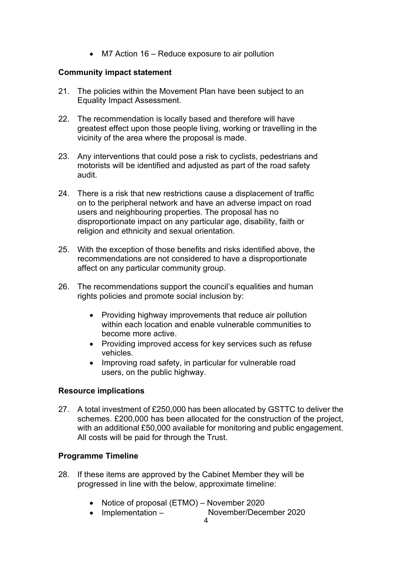• M7 Action 16 – Reduce exposure to air pollution

## **Community impact statement**

- 21. The policies within the Movement Plan have been subject to an Equality Impact Assessment.
- 22. The recommendation is locally based and therefore will have greatest effect upon those people living, working or travelling in the vicinity of the area where the proposal is made.
- 23. Any interventions that could pose a risk to cyclists, pedestrians and motorists will be identified and adjusted as part of the road safety audit.
- 24. There is a risk that new restrictions cause a displacement of traffic on to the peripheral network and have an adverse impact on road users and neighbouring properties. The proposal has no disproportionate impact on any particular age, disability, faith or religion and ethnicity and sexual orientation.
- 25. With the exception of those benefits and risks identified above, the recommendations are not considered to have a disproportionate affect on any particular community group.
- 26. The recommendations support the council's equalities and human rights policies and promote social inclusion by:
	- Providing highway improvements that reduce air pollution within each location and enable vulnerable communities to become more active.
	- Providing improved access for key services such as refuse vehicles.
	- Improving road safety, in particular for vulnerable road users, on the public highway.

#### **Resource implications**

27. A total investment of £250,000 has been allocated by GSTTC to deliver the schemes. £200,000 has been allocated for the construction of the project, with an additional £50,000 available for monitoring and public engagement. All costs will be paid for through the Trust.

## **Programme Timeline**

- 28. If these items are approved by the Cabinet Member they will be progressed in line with the below, approximate timeline:
	- Notice of proposal (ETMO) November 2020
	- Implementation November/December 2020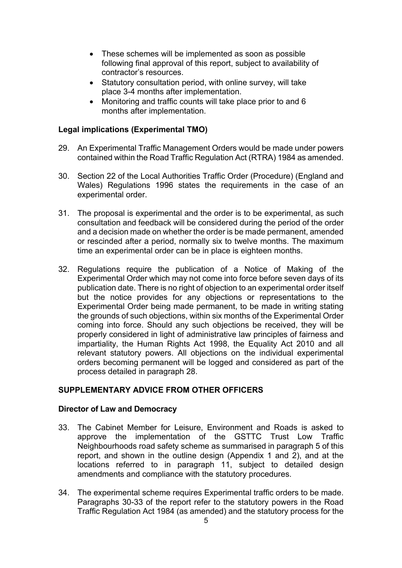- These schemes will be implemented as soon as possible following final approval of this report, subject to availability of contractor's resources.
- Statutory consultation period, with online survey, will take place 3-4 months after implementation.
- Monitoring and traffic counts will take place prior to and 6 months after implementation.

### **Legal implications (Experimental TMO)**

- 29. An Experimental Traffic Management Orders would be made under powers contained within the Road Traffic Regulation Act (RTRA) 1984 as amended.
- 30. Section 22 of the Local Authorities Traffic Order (Procedure) (England and Wales) Regulations 1996 states the requirements in the case of an experimental order.
- 31. The proposal is experimental and the order is to be experimental, as such consultation and feedback will be considered during the period of the order and a decision made on whether the order is be made permanent, amended or rescinded after a period, normally six to twelve months. The maximum time an experimental order can be in place is eighteen months.
- 32. Regulations require the publication of a Notice of Making of the Experimental Order which may not come into force before seven days of its publication date. There is no right of objection to an experimental order itself but the notice provides for any objections or representations to the Experimental Order being made permanent, to be made in writing stating the grounds of such objections, within six months of the Experimental Order coming into force. Should any such objections be received, they will be properly considered in light of administrative law principles of fairness and impartiality, the Human Rights Act 1998, the Equality Act 2010 and all relevant statutory powers. All objections on the individual experimental orders becoming permanent will be logged and considered as part of the process detailed in paragraph 28.

#### **SUPPLEMENTARY ADVICE FROM OTHER OFFICERS**

#### **Director of Law and Democracy**

- 33. The Cabinet Member for Leisure, Environment and Roads is asked to approve the implementation of the GSTTC Trust Low Traffic Neighbourhoods road safety scheme as summarised in paragraph 5 of this report, and shown in the outline design (Appendix 1 and 2), and at the locations referred to in paragraph 11, subject to detailed design amendments and compliance with the statutory procedures.
- 34. The experimental scheme requires Experimental traffic orders to be made. Paragraphs 30-33 of the report refer to the statutory powers in the Road Traffic Regulation Act 1984 (as amended) and the statutory process for the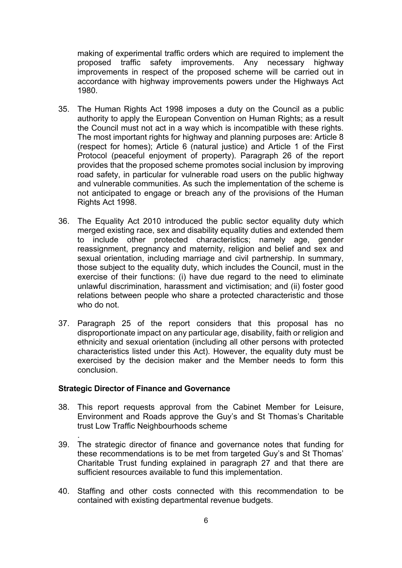making of experimental traffic orders which are required to implement the proposed traffic safety improvements. Any necessary highway improvements in respect of the proposed scheme will be carried out in accordance with highway improvements powers under the Highways Act 1980.

- 35. The Human Rights Act 1998 imposes a duty on the Council as a public authority to apply the European Convention on Human Rights; as a result the Council must not act in a way which is incompatible with these rights. The most important rights for highway and planning purposes are: Article 8 (respect for homes); Article 6 (natural justice) and Article 1 of the First Protocol (peaceful enjoyment of property). Paragraph 26 of the report provides that the proposed scheme promotes social inclusion by improving road safety, in particular for vulnerable road users on the public highway and vulnerable communities. As such the implementation of the scheme is not anticipated to engage or breach any of the provisions of the Human Rights Act 1998.
- 36. The Equality Act 2010 introduced the public sector equality duty which merged existing race, sex and disability equality duties and extended them to include other protected characteristics; namely age, gender reassignment, pregnancy and maternity, religion and belief and sex and sexual orientation, including marriage and civil partnership. In summary, those subject to the equality duty, which includes the Council, must in the exercise of their functions: (i) have due regard to the need to eliminate unlawful discrimination, harassment and victimisation; and (ii) foster good relations between people who share a protected characteristic and those who do not.
- 37. Paragraph 25 of the report considers that this proposal has no disproportionate impact on any particular age, disability, faith or religion and ethnicity and sexual orientation (including all other persons with protected characteristics listed under this Act). However, the equality duty must be exercised by the decision maker and the Member needs to form this conclusion.

#### **Strategic Director of Finance and Governance**

.

- 38. This report requests approval from the Cabinet Member for Leisure, Environment and Roads approve the Guy's and St Thomas's Charitable trust Low Traffic Neighbourhoods scheme
- 39. The strategic director of finance and governance notes that funding for these recommendations is to be met from targeted Guy's and St Thomas' Charitable Trust funding explained in paragraph 27 and that there are sufficient resources available to fund this implementation.
- 40. Staffing and other costs connected with this recommendation to be contained with existing departmental revenue budgets.